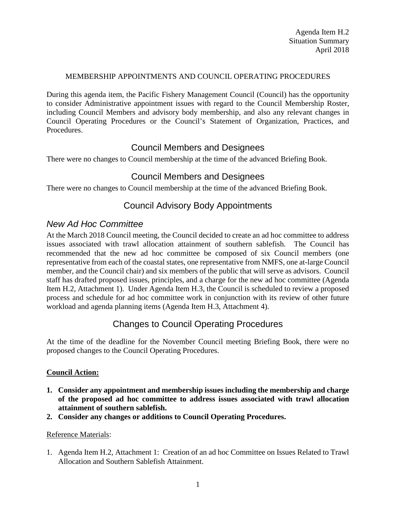#### MEMBERSHIP APPOINTMENTS AND COUNCIL OPERATING PROCEDURES

During this agenda item, the Pacific Fishery Management Council (Council) has the opportunity to consider Administrative appointment issues with regard to the Council Membership Roster, including Council Members and advisory body membership, and also any relevant changes in Council Operating Procedures or the Council's Statement of Organization, Practices, and Procedures.

## Council Members and Designees

There were no changes to Council membership at the time of the advanced Briefing Book.

## Council Members and Designees

There were no changes to Council membership at the time of the advanced Briefing Book.

## Council Advisory Body Appointments

### *New Ad Hoc Committee*

At the March 2018 Council meeting, the Council decided to create an ad hoc committee to address issues associated with trawl allocation attainment of southern sablefish. The Council has recommended that the new ad hoc committee be composed of six Council members (one representative from each of the coastal states, one representative from NMFS, one at-large Council member, and the Council chair) and six members of the public that will serve as advisors. Council staff has drafted proposed issues, principles, and a charge for the new ad hoc committee (Agenda Item H.2, Attachment 1). Under Agenda Item H.3, the Council is scheduled to review a proposed process and schedule for ad hoc committee work in conjunction with its review of other future workload and agenda planning items (Agenda Item H.3, Attachment 4).

# Changes to Council Operating Procedures

At the time of the deadline for the November Council meeting Briefing Book, there were no proposed changes to the Council Operating Procedures.

### **Council Action:**

- **1. Consider any appointment and membership issues including the membership and charge of the proposed ad hoc committee to address issues associated with trawl allocation attainment of southern sablefish.**
- **2. Consider any changes or additions to Council Operating Procedures.**

#### Reference Materials:

1. Agenda Item H.2, Attachment 1: Creation of an ad hoc Committee on Issues Related to Trawl Allocation and Southern Sablefish Attainment.